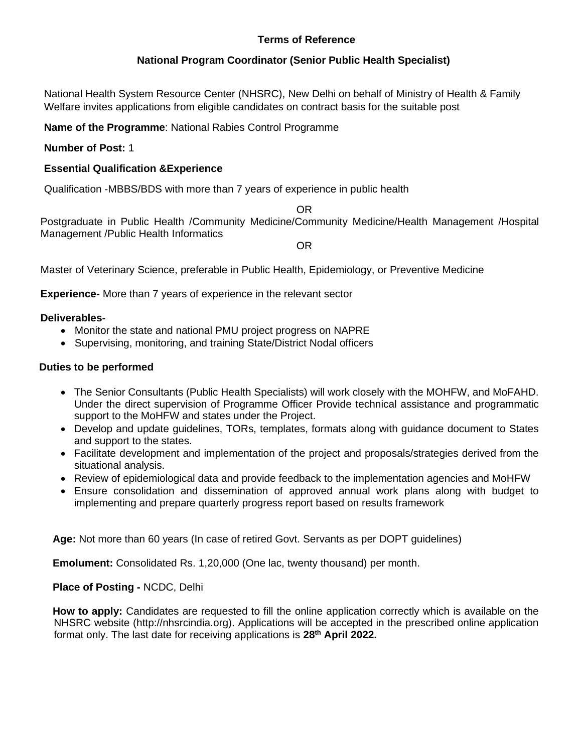### **Terms of Reference**

#### **National Program Coordinator (Senior Public Health Specialist)**

National Health System Resource Center (NHSRC), New Delhi on behalf of Ministry of Health & Family Welfare invites applications from eligible candidates on contract basis for the suitable post

#### **Name of the Programme**: National Rabies Control Programme

#### **Number of Post:** 1

#### **Essential Qualification &Experience**

Qualification -MBBS/BDS with more than 7 years of experience in public health

OR Postgraduate in Public Health /Community Medicine/Community Medicine/Health Management /Hospital Management /Public Health Informatics

OR

Master of Veterinary Science, preferable in Public Health, Epidemiology, or Preventive Medicine

**Experience-** More than 7 years of experience in the relevant sector

#### **Deliverables-**

- Monitor the state and national PMU project progress on NAPRE
- Supervising, monitoring, and training State/District Nodal officers

#### **Duties to be performed**

- The Senior Consultants (Public Health Specialists) will work closely with the MOHFW, and MoFAHD. Under the direct supervision of Programme Officer Provide technical assistance and programmatic support to the MoHFW and states under the Project.
- Develop and update guidelines, TORs, templates, formats along with guidance document to States and support to the states.
- Facilitate development and implementation of the project and proposals/strategies derived from the situational analysis.
- Review of epidemiological data and provide feedback to the implementation agencies and MoHFW
- Ensure consolidation and dissemination of approved annual work plans along with budget to implementing and prepare quarterly progress report based on results framework

**Age:** Not more than 60 years (In case of retired Govt. Servants as per DOPT guidelines)

**Emolument:** Consolidated Rs. 1,20,000 (One lac, twenty thousand) per month.

#### **Place of Posting -** NCDC, Delhi

**How to apply:** Candidates are requested to fill the online application correctly which is available on the NHSRC website (http://nhsrcindia.org). Applications will be accepted in the prescribed online application format only. The last date for receiving applications is **28 th April 2022.**